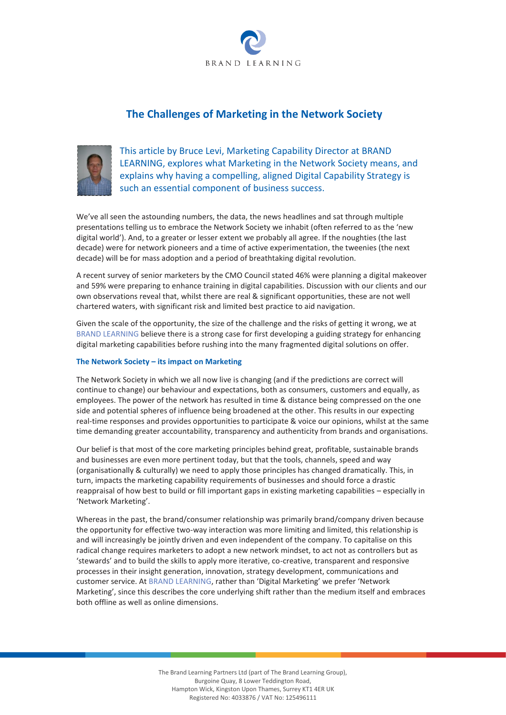

# **The Challenges of Marketing in the Network Society**



This article by Bruce Levi, Marketing Capability Director at BRAND LEARNING, explores what Marketing in the Network Society means, and explains why having a compelling, aligned Digital Capability Strategy is such an essential component of business success.

We've all seen the astounding numbers, the data, the news headlines and sat through multiple presentations telling us to embrace the Network Society we inhabit (often referred to as the 'new digital world'). And, to a greater or lesser extent we probably all agree. If the noughties (the last decade) were for network pioneers and a time of active experimentation, the tweenies (the next decade) will be for mass adoption and a period of breathtaking digital revolution.

A recent survey of senior marketers by the CMO Council stated 46% were planning a digital makeover and 59% were preparing to enhance training in digital capabilities. Discussion with our clients and our own observations reveal that, whilst there are real & significant opportunities, these are not well chartered waters, with significant risk and limited best practice to aid navigation.

Given the scale of the opportunity, the size of the challenge and the risks of getting it wrong, we at BRAND LEARNING believe there is a strong case for first developing a guiding strategy for enhancing digital marketing capabilities before rushing into the many fragmented digital solutions on offer.

### **The Network Society – its impact on Marketing**

The Network Society in which we all now live is changing (and if the predictions are correct will continue to change) our behaviour and expectations, both as consumers, customers and equally, as employees. The power of the network has resulted in time & distance being compressed on the one side and potential spheres of influence being broadened at the other. This results in our expecting real-time responses and provides opportunities to participate & voice our opinions, whilst at the same time demanding greater accountability, transparency and authenticity from brands and organisations.

Our belief is that most of the core marketing principles behind great, profitable, sustainable brands and businesses are even more pertinent today, but that the tools, channels, speed and way (organisationally & culturally) we need to apply those principles has changed dramatically. This, in turn, impacts the marketing capability requirements of businesses and should force a drastic reappraisal of how best to build or fill important gaps in existing marketing capabilities – especially in 'Network Marketing'.

Whereas in the past, the brand/consumer relationship was primarily brand/company driven because the opportunity for effective two-way interaction was more limiting and limited, this relationship is and will increasingly be jointly driven and even independent of the company. To capitalise on this radical change requires marketers to adopt a new network mindset, to act not as controllers but as 'stewards' and to build the skills to apply more iterative, co-creative, transparent and responsive processes in their insight generation, innovation, strategy development, communications and customer service. At BRAND LEARNING, rather than 'Digital Marketing' we prefer 'Network Marketing', since this describes the core underlying shift rather than the medium itself and embraces both offline as well as online dimensions.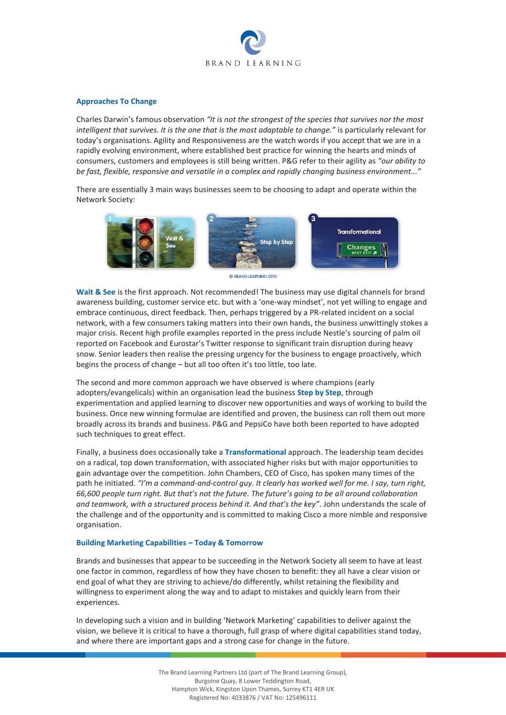

#### **Approaches To Change**

Charles Darwin's famous observation *"It is not the strongest of the species that survives nor the most intelligent that survives. It is the one that is the most adaptable to change."* is particularly relevant for today's organisations. Agility and Responsiveness are the watch words if you accept that we are in a rapidly evolving environment, where established best practice for winning the hearts and minds of consumers, customers and employees is still being written. P&G refer to their agility as *"our ability to be fast, flexible, responsive and versatile in a complex and rapidly changing business environment..."*

There are essentially 3 main ways businesses seem to be choosing to adapt and operate within the Network Society:



**C BRAND LEARNING 2010** 

**Wait & See** is the first approach. Not recommended! The business may use digital channels for brand awareness building, customer service etc. but with a 'one-way mindset', not yet willing to engage and embrace continuous, direct feedback. Then, perhaps triggered by a PR-related incident on a social network, with a few consumers taking matters into their own hands, the business unwittingly stokes a major crisis. Recent high profile examples reported in the press include Nestle's sourcing of palm oil reported on Facebook and Eurostar's Twitter response to significant train disruption during heavy snow. Senior leaders then realise the pressing urgency for the business to engage proactively, which begins the process of change – but all too often it's too little, too late.

The second and more common approach we have observed is where champions (early adopters/evangelicals) within an organisation lead the business **Step by Step**, through experimentation and applied learning to discover new opportunities and ways of working to build the business. Once new winning formulae are identified and proven, the business can roll them out more broadly across its brands and business. P&G and PepsiCo have both been reported to have adopted such techniques to great effect.

Finally, a business does occasionally take a **Transformational** approach. The leadership team decides on a radical, top down transformation, with associated higher risks but with major opportunities to gain advantage over the competition. John Chambers, CEO of Cisco, has spoken many times of the path he initiated. *"I'm a command-and-control guy. It clearly has worked well for me. I say, turn right, 66,600 people turn right. But that's not the future. The future's going to be all around collaboration and teamwork, with a structured process behind it. And that's the key"*. John understands the scale of the challenge and of the opportunity and is committed to making Cisco a more nimble and responsive organisation.

#### **Building Marketing Capabilities – Today & Tomorrow**

Brands and businesses that appear to be succeeding in the Network Society all seem to have at least one factor in common, regardless of how they have chosen to benefit: they all have a clear vision or end goal of what they are striving to achieve/do differently, whilst retaining the flexibility and willingness to experiment along the way and to adapt to mistakes and quickly learn from their experiences.

In developing such a vision and in building 'Network Marketing' capabilities to deliver against the vision, we believe it is critical to have a thorough, full grasp of where digital capabilities stand today, and where there are important gaps and a strong case for change in the future.